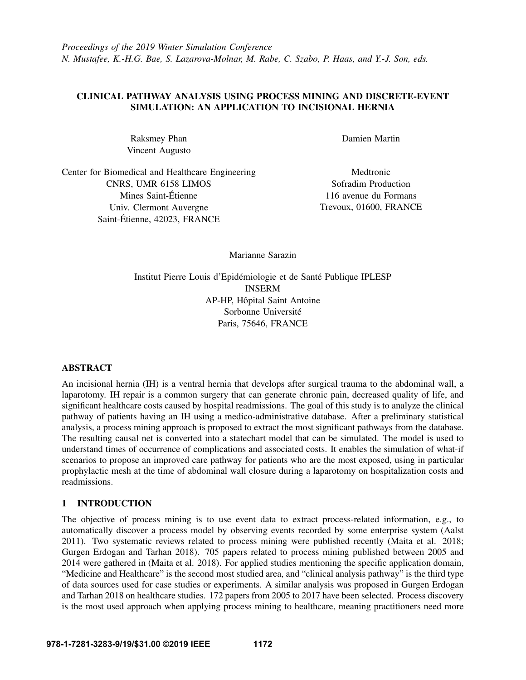## CLINICAL PATHWAY ANALYSIS USING PROCESS MINING AND DISCRETE-EVENT SIMULATION: AN APPLICATION TO INCISIONAL HERNIA

Raksmey Phan Vincent Augusto

Center for Biomedical and Healthcare Engineering CNRS, UMR 6158 LIMOS Mines Saint-Etienne ´ Univ. Clermont Auvergne Saint-Étienne, 42023, FRANCE

Damien Martin

**Medtronic** Sofradim Production 116 avenue du Formans Trevoux, 01600, FRANCE

Marianne Sarazin

Institut Pierre Louis d'Epidémiologie et de Santé Publique IPLESP INSERM AP-HP, Hôpital Saint Antoine Sorbonne Université Paris, 75646, FRANCE

# **ABSTRACT**

An incisional hernia (IH) is a ventral hernia that develops after surgical trauma to the abdominal wall, a laparotomy. IH repair is a common surgery that can generate chronic pain, decreased quality of life, and significant healthcare costs caused by hospital readmissions. The goal of this study is to analyze the clinical pathway of patients having an IH using a medico-administrative database. After a preliminary statistical analysis, a process mining approach is proposed to extract the most significant pathways from the database. The resulting causal net is converted into a statechart model that can be simulated. The model is used to understand times of occurrence of complications and associated costs. It enables the simulation of what-if scenarios to propose an improved care pathway for patients who are the most exposed, using in particular prophylactic mesh at the time of abdominal wall closure during a laparotomy on hospitalization costs and readmissions.

### <span id="page-0-0"></span>1 INTRODUCTION

The objective of process mining is to use event data to extract process-related information, e.g., to automatically discover a process model by observing events recorded by some enterprise system [\(Aalst](#page-10-0) [2011\)](#page-10-0). Two systematic reviews related to process mining were published recently [\(Maita et al. 2018;](#page-10-1) [Gurgen Erdogan and Tarhan 2018\)](#page-10-2). 705 papers related to process mining published between 2005 and 2014 were gathered in [\(Maita et al. 2018\)](#page-10-1). For applied studies mentioning the specific application domain, "Medicine and Healthcare" is the second most studied area, and "clinical analysis pathway" is the third type of data sources used for case studies or experiments. A similar analysis was proposed in [Gurgen Erdogan](#page-10-2) [and Tarhan 2018](#page-10-2) on healthcare studies. 172 papers from 2005 to 2017 have been selected. Process discovery is the most used approach when applying process mining to healthcare, meaning practitioners need more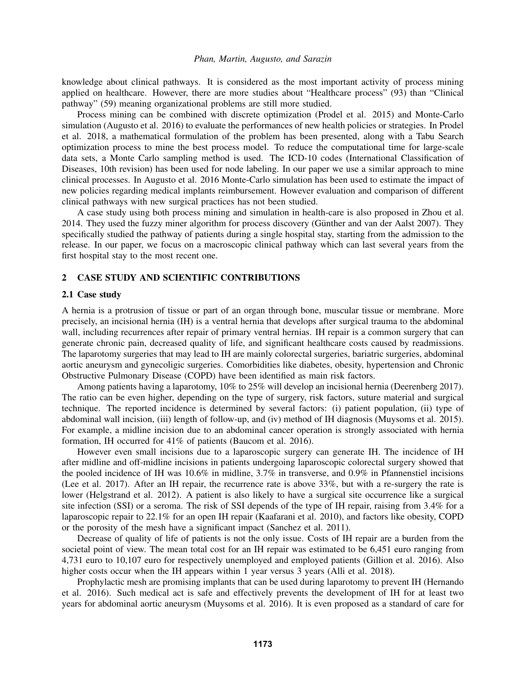knowledge about clinical pathways. It is considered as the most important activity of process mining applied on healthcare. However, there are more studies about "Healthcare process" (93) than "Clinical pathway" (59) meaning organizational problems are still more studied.

Process mining can be combined with discrete optimization [\(Prodel et al. 2015\)](#page-10-3) and Monte-Carlo simulation [\(Augusto et al. 2016\)](#page-10-4) to evaluate the performances of new health policies or strategies. In [Prodel](#page-10-5) [et al. 2018,](#page-10-5) a mathematical formulation of the problem has been presented, along with a Tabu Search optimization process to mine the best process model. To reduce the computational time for large-scale data sets, a Monte Carlo sampling method is used. The ICD-10 codes (International Classification of Diseases, 10th revision) has been used for node labeling. In our paper we use a similar approach to mine clinical processes. In [Augusto et al. 2016](#page-10-4) Monte-Carlo simulation has been used to estimate the impact of new policies regarding medical implants reimbursement. However evaluation and comparison of different clinical pathways with new surgical practices has not been studied.

A case study using both process mining and simulation in health-care is also proposed in [Zhou et al.](#page-11-0) [2014.](#page-11-0) They used the fuzzy miner algorithm for process discovery (Günther and van der Aalst 2007). They specifically studied the pathway of patients during a single hospital stay, starting from the admission to the release. In our paper, we focus on a macroscopic clinical pathway which can last several years from the first hospital stay to the most recent one.

#### 2 CASE STUDY AND SCIENTIFIC CONTRIBUTIONS

#### 2.1 Case study

A hernia is a protrusion of tissue or part of an organ through bone, muscular tissue or membrane. More precisely, an incisional hernia (IH) is a ventral hernia that develops after surgical trauma to the abdominal wall, including recurrences after repair of primary ventral hernias. IH repair is a common surgery that can generate chronic pain, decreased quality of life, and significant healthcare costs caused by readmissions. The laparotomy surgeries that may lead to IH are mainly colorectal surgeries, bariatric surgeries, abdominal aortic aneurysm and gynecoligic surgeries. Comorbidities like diabetes, obesity, hypertension and Chronic Obstructive Pulmonary Disease (COPD) have been identified as main risk factors.

Among patients having a laparotomy, 10% to 25% will develop an incisional hernia [\(Deerenberg 2017\)](#page-10-7). The ratio can be even higher, depending on the type of surgery, risk factors, suture material and surgical technique. The reported incidence is determined by several factors: (i) patient population, (ii) type of abdominal wall incision, (iii) length of follow-up, and (iv) method of IH diagnosis [\(Muysoms et al. 2015\)](#page-10-8). For example, a midline incision due to an abdominal cancer operation is strongly associated with hernia formation, IH occurred for 41% of patients [\(Baucom et al. 2016\)](#page-10-9).

However even small incisions due to a laparoscopic surgery can generate IH. The incidence of IH after midline and off-midline incisions in patients undergoing laparoscopic colorectal surgery showed that the pooled incidence of IH was 10.6% in midline, 3.7% in transverse, and 0.9% in Pfannenstiel incisions [\(Lee et al. 2017\)](#page-10-10). After an IH repair, the recurrence rate is above 33%, but with a re-surgery the rate is lower [\(Helgstrand et al. 2012\)](#page-10-11). A patient is also likely to have a surgical site occurrence like a surgical site infection (SSI) or a seroma. The risk of SSI depends of the type of IH repair, raising from 3.4% for a laparoscopic repair to 22.1% for an open IH repair [\(Kaafarani et al. 2010\)](#page-10-12), and factors like obesity, COPD or the porosity of the mesh have a significant impact [\(Sanchez et al. 2011\)](#page-10-13).

Decrease of quality of life of patients is not the only issue. Costs of IH repair are a burden from the societal point of view. The mean total cost for an IH repair was estimated to be 6,451 euro ranging from 4,731 euro to 10,107 euro for respectively unemployed and employed patients [\(Gillion et al. 2016\)](#page-10-14). Also higher costs occur when the IH appears within 1 year versus 3 years [\(Alli et al. 2018\)](#page-10-15).

Prophylactic mesh are promising implants that can be used during laparotomy to prevent IH [\(Hernando](#page-10-16) [et al. 2016\)](#page-10-16). Such medical act is safe and effectively prevents the development of IH for at least two years for abdominal aortic aneurysm [\(Muysoms et al. 2016\)](#page-10-17). It is even proposed as a standard of care for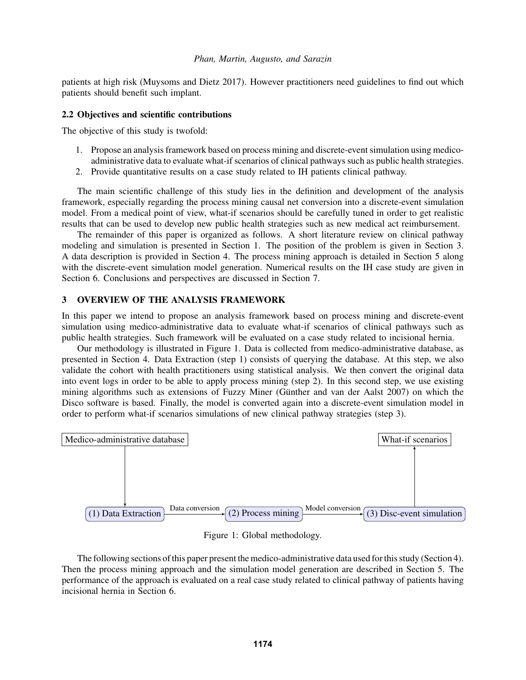patients at high risk [\(Muysoms and Dietz 2017\)](#page-10-18). However practitioners need guidelines to find out which patients should benefit such implant.

#### 2.2 Objectives and scientific contributions

The objective of this study is twofold:

- 1. Propose an analysis framework based on process mining and discrete-event simulation using medicoadministrative data to evaluate what-if scenarios of clinical pathways such as public health strategies.
- 2. Provide quantitative results on a case study related to IH patients clinical pathway.

The main scientific challenge of this study lies in the definition and development of the analysis framework, especially regarding the process mining causal net conversion into a discrete-event simulation model. From a medical point of view, what-if scenarios should be carefully tuned in order to get realistic results that can be used to develop new public health strategies such as new medical act reimbursement.

The remainder of this paper is organized as follows. A short literature review on clinical pathway modeling and simulation is presented in Section [1.](#page-0-0) The position of the problem is given in Section [3.](#page-2-0) A data description is provided in Section [4.](#page-3-0) The process mining approach is detailed in Section [5](#page-4-0) along with the discrete-event simulation model generation. Numerical results on the IH case study are given in Section [6.](#page-6-0) Conclusions and perspectives are discussed in Section [7.](#page-9-0)

## <span id="page-2-0"></span>3 OVERVIEW OF THE ANALYSIS FRAMEWORK

In this paper we intend to propose an analysis framework based on process mining and discrete-event simulation using medico-administrative data to evaluate what-if scenarios of clinical pathways such as public health strategies. Such framework will be evaluated on a case study related to incisional hernia.

Our methodology is illustrated in Figure [1.](#page-2-1) Data is collected from medico-administrative database, as presented in Section [4.](#page-3-0) Data Extraction (step 1) consists of querying the database. At this step, we also validate the cohort with health practitioners using statistical analysis. We then convert the original data into event logs in order to be able to apply process mining (step 2). In this second step, we use existing mining algorithms such as extensions of Fuzzy Miner (Günther and van der Aalst 2007) on which the Disco software is based. Finally, the model is converted again into a discrete-event simulation model in order to perform what-if scenarios simulations of new clinical pathway strategies (step 3).



<span id="page-2-1"></span>Figure 1: Global methodology.

The following sections of this paper present the medico-administrative data used for this study (Section [4\)](#page-3-0). Then the process mining approach and the simulation model generation are described in Section [5.](#page-4-0) The performance of the approach is evaluated on a real case study related to clinical pathway of patients having incisional hernia in Section [6.](#page-6-0)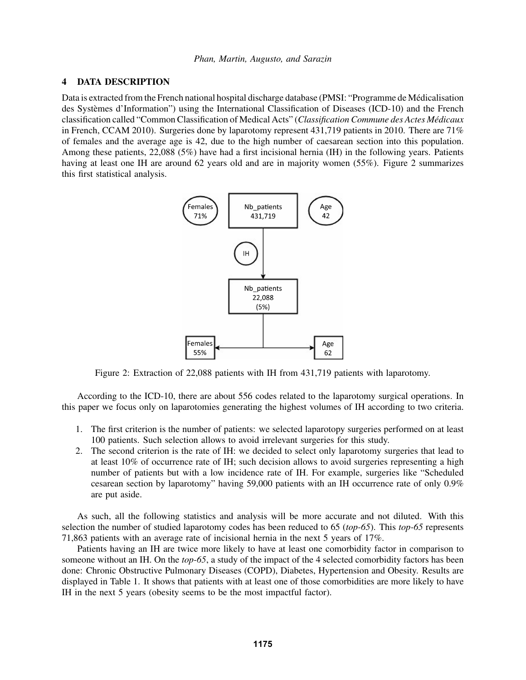### <span id="page-3-0"></span>4 DATA DESCRIPTION

Data is extracted from the French national hospital discharge database (PMSI: "Programme de Medicalisation ´ des Systèmes d'Information") using the International Classification of Diseases (ICD-10) and the French classification called "Common Classification of Medical Acts" (*Classification Commune des Actes Medicaux ´* in French, CCAM 2010). Surgeries done by laparotomy represent 431,719 patients in 2010. There are 71% of females and the average age is 42, due to the high number of caesarean section into this population. Among these patients, 22,088 (5%) have had a first incisional hernia (IH) in the following years. Patients having at least one IH are around 6[2](#page-3-1) years old and are in majority women (55%). Figure 2 summarizes this first statistical analysis.



<span id="page-3-1"></span>Figure 2: Extraction of 22,088 patients with IH from 431,719 patients with laparotomy.

According to the ICD-10, there are about 556 codes related to the laparotomy surgical operations. In this paper we focus only on laparotomies generating the highest volumes of IH according to two criteria.

- 1. The first criterion is the number of patients: we selected laparotopy surgeries performed on at least 100 patients. Such selection allows to avoid irrelevant surgeries for this study.
- 2. The second criterion is the rate of IH: we decided to select only laparotomy surgeries that lead to at least 10% of occurrence rate of IH; such decision allows to avoid surgeries representing a high number of patients but with a low incidence rate of IH. For example, surgeries like "Scheduled cesarean section by laparotomy" having 59,000 patients with an IH occurrence rate of only 0.9% are put aside.

As such, all the following statistics and analysis will be more accurate and not diluted. With this selection the number of studied laparotomy codes has been reduced to 65 (*top-65*). This *top-65* represents 71,863 patients with an average rate of incisional hernia in the next 5 years of 17%.

Patients having an IH are twice more likely to have at least one comorbidity factor in comparison to someone without an IH. On the *top-65*, a study of the impact of the 4 selected comorbidity factors has been done: Chronic Obstructive Pulmonary Diseases (COPD), Diabetes, Hypertension and Obesity. Results are displayed in Table [1.](#page-4-1) It shows that patients with at least one of those comorbidities are more likely to have IH in the next 5 years (obesity seems to be the most impactful factor).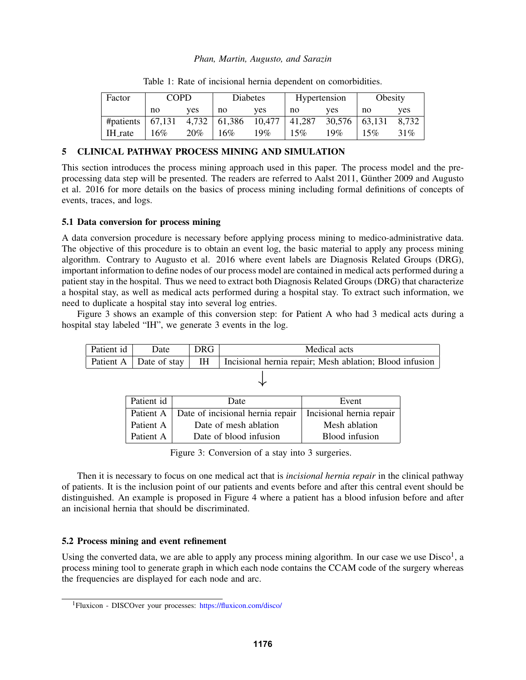| Factor                   | <b>COPD</b> |        | <b>Diabetes</b>                                 |     | Hypertension |                 | Obesity |        |
|--------------------------|-------------|--------|-------------------------------------------------|-----|--------------|-----------------|---------|--------|
|                          | no          | ves    | no                                              | ves | no           | ves             | no      | ves    |
| #patients $\vert$ 67,131 |             | 4,732  | $\begin{bmatrix} 61,386 & 10,477 \end{bmatrix}$ |     | 41,287       | $30,576$ 63,131 |         | 8,732  |
| IH_rate                  | 16%         | $20\%$ | 16%                                             | 19% | 15%          | 19 $%$          | 15%     | $31\%$ |

<span id="page-4-1"></span>Table 1: Rate of incisional hernia dependent on comorbidities.

# <span id="page-4-0"></span>5 CLINICAL PATHWAY PROCESS MINING AND SIMULATION

This section introduces the process mining approach used in this paper. The process model and the pre-processing data step will be presented. The readers are referred to [Aalst 2011,](#page-10-0) Günther 2009 and [Augusto](#page-10-4) [et al. 2016](#page-10-4) for more details on the basics of process mining including formal definitions of concepts of events, traces, and logs.

# 5.1 Data conversion for process mining

A data conversion procedure is necessary before applying process mining to medico-administrative data. The objective of this procedure is to obtain an event log, the basic material to apply any process mining algorithm. Contrary to [Augusto et al. 2016](#page-10-4) where event labels are Diagnosis Related Groups (DRG), important information to define nodes of our process model are contained in medical acts performed during a patient stay in the hospital. Thus we need to extract both Diagnosis Related Groups (DRG) that characterize a hospital stay, as well as medical acts performed during a hospital stay. To extract such information, we need to duplicate a hospital stay into several log entries.

Figure [3](#page-4-2) shows an example of this conversion step: for Patient A who had 3 medical acts during a hospital stay labeled "IH", we generate 3 events in the log.

| Patient id<br>Date |            | <b>DRG</b>         |                                  | Medical acts                                            |                          |  |
|--------------------|------------|--------------------|----------------------------------|---------------------------------------------------------|--------------------------|--|
| Patient A          |            | IH<br>Date of stay |                                  | Incisional hernia repair; Mesh ablation; Blood infusion |                          |  |
|                    |            |                    |                                  |                                                         |                          |  |
|                    | Patient id |                    | Date                             |                                                         | Event                    |  |
|                    | Patient A  |                    | Date of incisional hernia repair |                                                         | Incisional hernia repair |  |
|                    | Patient A  |                    | Date of mesh ablation            |                                                         | Mesh ablation            |  |
|                    | Patient A  |                    | Date of blood infusion           |                                                         | <b>Blood</b> infusion    |  |
|                    |            |                    |                                  |                                                         |                          |  |

<span id="page-4-2"></span>Figure 3: Conversion of a stay into 3 surgeries.

Then it is necessary to focus on one medical act that is *incisional hernia repair* in the clinical pathway of patients. It is the inclusion point of our patients and events before and after this central event should be distinguished. An example is proposed in Figure [4](#page-5-0) where a patient has a blood infusion before and after an incisional hernia that should be discriminated.

# 5.2 Process mining and event refinement

Using the converted data, we are able to apply any process mining algorithm. In our case we use  $Disco<sup>1</sup>$  $Disco<sup>1</sup>$  $Disco<sup>1</sup>$ , a process mining tool to generate graph in which each node contains the CCAM code of the surgery whereas the frequencies are displayed for each node and arc.

<span id="page-4-3"></span><sup>1</sup>Fluxicon - DISCOver your processes: <https://fluxicon.com/disco/>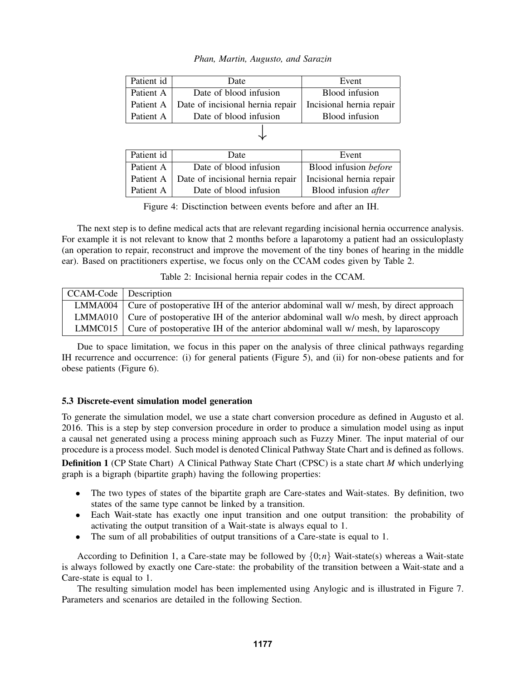| Patient id | Date                                         | Event                    |  |  |  |  |
|------------|----------------------------------------------|--------------------------|--|--|--|--|
| Patient A  | Date of blood infusion                       | Blood infusion           |  |  |  |  |
|            | Patient A   Date of incisional hernia repair | Incisional hernia repair |  |  |  |  |
| Patient A  | Date of blood infusion                       | Blood infusion           |  |  |  |  |
|            |                                              |                          |  |  |  |  |

| Patient id | Date                                                                    | Event                        |
|------------|-------------------------------------------------------------------------|------------------------------|
| Patient A  | Date of blood infusion                                                  | Blood infusion <i>before</i> |
|            | Patient A   Date of incisional hernia repair   Incisional hernia repair |                              |
| Patient A  | Date of blood infusion                                                  | Blood infusion after         |

<span id="page-5-0"></span>Figure 4: Disctinction between events before and after an IH.

The next step is to define medical acts that are relevant regarding incisional hernia occurrence analysis. For example it is not relevant to know that 2 months before a laparotomy a patient had an ossiculoplasty (an operation to repair, reconstruct and improve the movement of the tiny bones of hearing in the middle ear). Based on practitioners expertise, we focus only on the CCAM codes given by Table [2.](#page-5-1)

<span id="page-5-1"></span>Table 2: Incisional hernia repair codes in the CCAM.

| $CCAM-Code$ Description |                                                                                              |
|-------------------------|----------------------------------------------------------------------------------------------|
|                         | LMMA004 Cure of postoperative IH of the anterior abdominal wall $w$ mesh, by direct approach |
|                         | LMMA010 Cure of postoperative IH of the anterior abdominal wall w/o mesh, by direct approach |
|                         | LMMC015 Cure of postoperative IH of the anterior abdominal wall $w$ mesh, by laparoscopy     |

Due to space limitation, we focus in this paper on the analysis of three clinical pathways regarding IH recurrence and occurrence: (i) for general patients (Figure [5\)](#page-6-1), and (ii) for non-obese patients and for obese patients (Figure [6\)](#page-6-2).

# 5.3 Discrete-event simulation model generation

To generate the simulation model, we use a state chart conversion procedure as defined in [Augusto et al.](#page-10-4) [2016.](#page-10-4) This is a step by step conversion procedure in order to produce a simulation model using as input a causal net generated using a process mining approach such as Fuzzy Miner. The input material of our procedure is a process model. Such model is denoted Clinical Pathway State Chart and is defined as follows.

<span id="page-5-2"></span>Definition 1 (CP State Chart) A Clinical Pathway State Chart (CPSC) is a state chart *M* which underlying graph is a bigraph (bipartite graph) having the following properties:

- The two types of states of the bipartite graph are Care-states and Wait-states. By definition, two states of the same type cannot be linked by a transition.
- Each Wait-state has exactly one input transition and one output transition: the probability of activating the output transition of a Wait-state is always equal to 1.
- The sum of all probabilities of output transitions of a Care-state is equal to 1.

According to Definition [1,](#page-5-2) a Care-state may be followed by  $\{0; n\}$  Wait-state(s) whereas a Wait-state is always followed by exactly one Care-state: the probability of the transition between a Wait-state and a Care-state is equal to 1.

The resulting simulation model has been implemented using Anylogic and is illustrated in Figure [7.](#page-7-0) Parameters and scenarios are detailed in the following Section.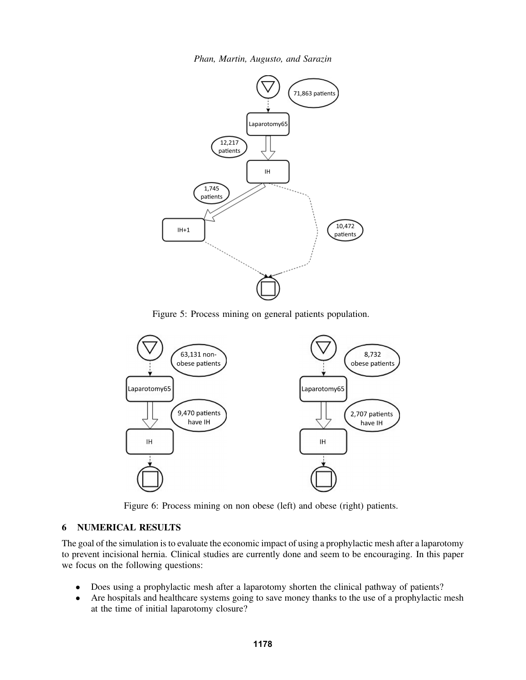

<span id="page-6-1"></span>Figure 5: Process mining on general patients population.



<span id="page-6-2"></span>Figure 6: Process mining on non obese (left) and obese (right) patients.

# <span id="page-6-0"></span>6 NUMERICAL RESULTS

The goal of the simulation is to evaluate the economic impact of using a prophylactic mesh after a laparotomy to prevent incisional hernia. Clinical studies are currently done and seem to be encouraging. In this paper we focus on the following questions:

- Does using a prophylactic mesh after a laparotomy shorten the clinical pathway of patients?
- Are hospitals and healthcare systems going to save money thanks to the use of a prophylactic mesh at the time of initial laparotomy closure?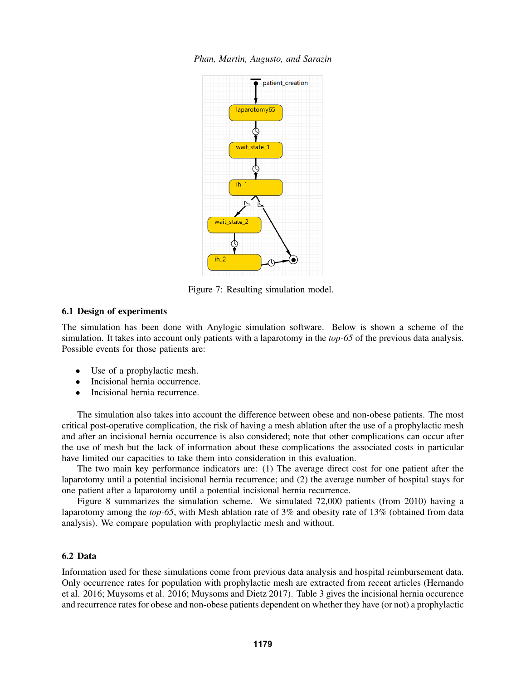



<span id="page-7-0"></span>Figure 7: Resulting simulation model.

### 6.1 Design of experiments

The simulation has been done with Anylogic simulation software. Below is shown a scheme of the simulation. It takes into account only patients with a laparotomy in the *top-65* of the previous data analysis. Possible events for those patients are:

- Use of a prophylactic mesh.
- Incisional hernia occurrence.
- Incisional hernia recurrence.

The simulation also takes into account the difference between obese and non-obese patients. The most critical post-operative complication, the risk of having a mesh ablation after the use of a prophylactic mesh and after an incisional hernia occurrence is also considered; note that other complications can occur after the use of mesh but the lack of information about these complications the associated costs in particular have limited our capacities to take them into consideration in this evaluation.

The two main key performance indicators are: (1) The average direct cost for one patient after the laparotomy until a potential incisional hernia recurrence; and (2) the average number of hospital stays for one patient after a laparotomy until a potential incisional hernia recurrence.

Figure [8](#page-8-0) summarizes the simulation scheme. We simulated 72,000 patients (from 2010) having a laparotomy among the *top-65*, with Mesh ablation rate of 3% and obesity rate of 13% (obtained from data analysis). We compare population with prophylactic mesh and without.

### 6.2 Data

Information used for these simulations come from previous data analysis and hospital reimbursement data. Only occurrence rates for population with prophylactic mesh are extracted from recent articles [\(Hernando](#page-10-16) [et al. 2016;](#page-10-16) [Muysoms et al. 2016;](#page-10-17) [Muysoms and Dietz 2017\)](#page-10-18). Table [3](#page-8-1) gives the incisional hernia occurence and recurrence rates for obese and non-obese patients dependent on whether they have (or not) a prophylactic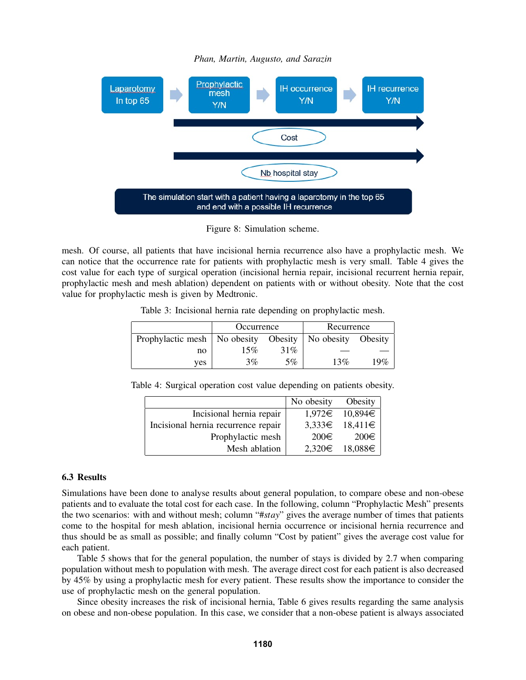

<span id="page-8-0"></span>Figure 8: Simulation scheme.

mesh. Of course, all patients that have incisional hernia recurrence also have a prophylactic mesh. We can notice that the occurrence rate for patients with prophylactic mesh is very small. Table [4](#page-8-2) gives the cost value for each type of surgical operation (incisional hernia repair, incisional recurrent hernia repair, prophylactic mesh and mesh ablation) dependent on patients with or without obesity. Note that the cost value for prophylactic mesh is given by Medtronic.

<span id="page-8-1"></span>Table 3: Incisional hernia rate depending on prophylactic mesh.

|                                | Occurrence |     | Recurrence |         |
|--------------------------------|------------|-----|------------|---------|
| Prophylactic mesh   No obesity | Obesity    |     | No obesity | Obesity |
| no                             | 15%        | 31% |            |         |
| ves                            | $3\%$      | 5%  | 13%        | 19%     |

Table 4: Surgical operation cost value depending on patients obesity.

<span id="page-8-2"></span>

|                                     | No obesity | Obesity            |
|-------------------------------------|------------|--------------------|
| Incisional hernia repair            |            | $1,972\in$ 10,894€ |
| Incisional hernia recurrence repair |            | $3,333\in$ 18,411€ |
| Prophylactic mesh                   | 200€       | $200 \in$          |
| Mesh ablation                       |            | $2,320\in$ 18,088€ |

## 6.3 Results

Simulations have been done to analyse results about general population, to compare obese and non-obese patients and to evaluate the total cost for each case. In the following, column "Prophylactic Mesh" presents the two scenarios: with and without mesh; column "#*stay*" gives the average number of times that patients come to the hospital for mesh ablation, incisional hernia occurrence or incisional hernia recurrence and thus should be as small as possible; and finally column "Cost by patient" gives the average cost value for each patient.

Table [5](#page-9-1) shows that for the general population, the number of stays is divided by 2.7 when comparing population without mesh to population with mesh. The average direct cost for each patient is also decreased by 45% by using a prophylactic mesh for every patient. These results show the importance to consider the use of prophylactic mesh on the general population.

Since obesity increases the risk of incisional hernia, Table [6](#page-9-2) gives results regarding the same analysis on obese and non-obese population. In this case, we consider that a non-obese patient is always associated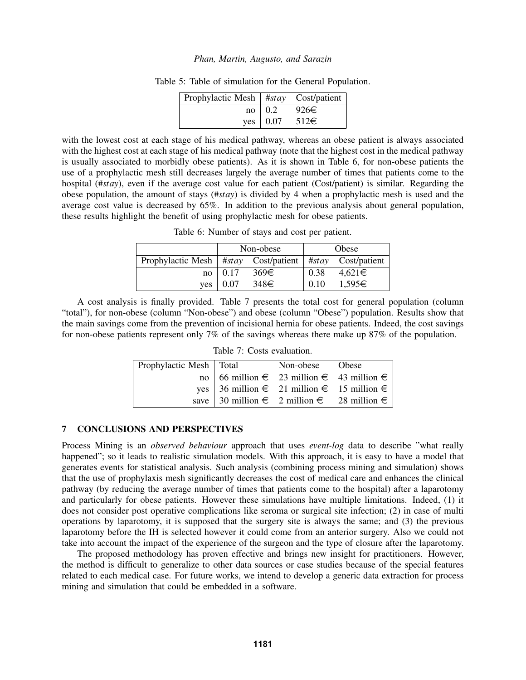<span id="page-9-1"></span>

| Prophylactic Mesh $\vert$ #stay Cost/patient $\vert$ |                        |           |
|------------------------------------------------------|------------------------|-----------|
|                                                      | $no$   0.2             | 926€      |
|                                                      | yes $\vert 0.07 \vert$ | $512 \in$ |

Table 5: Table of simulation for the General Population.

with the lowest cost at each stage of his medical pathway, whereas an obese patient is always associated with the highest cost at each stage of his medical pathway (note that the highest cost in the medical pathway is usually associated to morbidly obese patients). As it is shown in Table [6,](#page-9-2) for non-obese patients the use of a prophylactic mesh still decreases largely the average number of times that patients come to the hospital (#*stay*), even if the average cost value for each patient (Cost/patient) is similar. Regarding the obese population, the amount of stays (#*stay*) is divided by 4 when a prophylactic mesh is used and the average cost value is decreased by 65%. In addition to the previous analysis about general population, these results highlight the benefit of using prophylactic mesh for obese patients.

<span id="page-9-2"></span>Table 6: Number of stays and cost per patient.

|                                                      | Non-obese   |           |      | Obese              |
|------------------------------------------------------|-------------|-----------|------|--------------------|
| Prophylactic Mesh $\vert$ #stay Cost/patient $\vert$ |             |           |      | #stay Cost/patient |
|                                                      | $no$   0.17 | $369 \in$ | 0.38 | $4,621 \in$        |
| ves                                                  | 0.07        | 348€      | 0.10 | 1,595€             |

A cost analysis is finally provided. Table [7](#page-9-3) presents the total cost for general population (column "total"), for non-obese (column "Non-obese") and obese (column "Obese") population. Results show that the main savings come from the prevention of incisional hernia for obese patients. Indeed, the cost savings for non-obese patients represent only 7% of the savings whereas there make up 87% of the population.

| Prophylactic Mesh   Total | Non-obese Obese                              |  |
|---------------------------|----------------------------------------------|--|
|                           | no   66 million € 23 million € 43 million €  |  |
|                           | yes   36 million € 21 million € 15 million € |  |
|                           | save   30 million € 2 million € 28 million € |  |

<span id="page-9-3"></span>Table 7: Costs evaluation.

# <span id="page-9-0"></span>7 CONCLUSIONS AND PERSPECTIVES

Process Mining is an *observed behaviour* approach that uses *event-log* data to describe "what really happened"; so it leads to realistic simulation models. With this approach, it is easy to have a model that generates events for statistical analysis. Such analysis (combining process mining and simulation) shows that the use of prophylaxis mesh significantly decreases the cost of medical care and enhances the clinical pathway (by reducing the average number of times that patients come to the hospital) after a laparotomy and particularly for obese patients. However these simulations have multiple limitations. Indeed, (1) it does not consider post operative complications like seroma or surgical site infection; (2) in case of multi operations by laparotomy, it is supposed that the surgery site is always the same; and (3) the previous laparotomy before the IH is selected however it could come from an anterior surgery. Also we could not take into account the impact of the experience of the surgeon and the type of closure after the laparotomy.

The proposed methodology has proven effective and brings new insight for practitioners. However, the method is difficult to generalize to other data sources or case studies because of the special features related to each medical case. For future works, we intend to develop a generic data extraction for process mining and simulation that could be embedded in a software.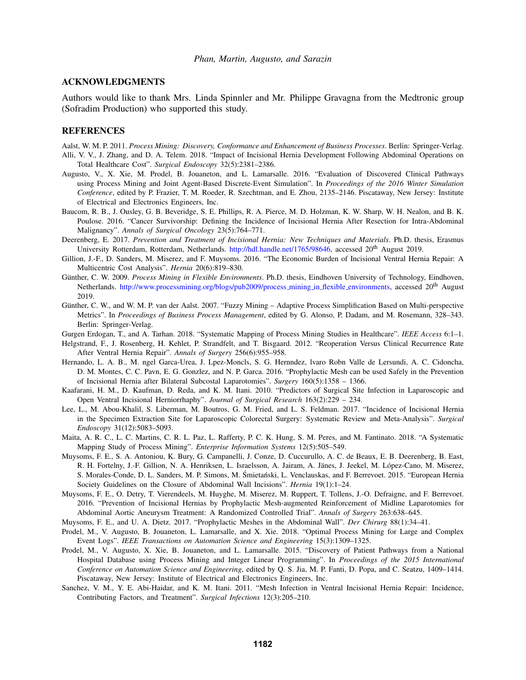### ACKNOWLEDGMENTS

Authors would like to thank Mrs. Linda Spinnler and Mr. Philippe Gravagna from the Medtronic group (Sofradim Production) who supported this study.

#### REFERENCES

<span id="page-10-0"></span>Aalst, W. M. P. 2011. *Process Mining: Discovery, Conformance and Enhancement of Business Processes*. Berlin: Springer-Verlag.

- <span id="page-10-15"></span>Alli, V. V., J. Zhang, and D. A. Telem. 2018. "Impact of Incisional Hernia Development Following Abdominal Operations on Total Healthcare Cost". *Surgical Endoscopy* 32(5):2381–2386.
- <span id="page-10-4"></span>Augusto, V., X. Xie, M. Prodel, B. Jouaneton, and L. Lamarsalle. 2016. "Evaluation of Discovered Clinical Pathways using Process Mining and Joint Agent-Based Discrete-Event Simulation". In *Proceedings of the 2016 Winter Simulation Conference*, edited by P. Frazier, T. M. Roeder, R. Szechtman, and E. Zhou, 2135–2146. Piscataway, New Jersey: Institute of Electrical and Electronics Engineers, Inc.
- <span id="page-10-9"></span>Baucom, R. B., J. Ousley, G. B. Beveridge, S. E. Phillips, R. A. Pierce, M. D. Holzman, K. W. Sharp, W. H. Nealon, and B. K. Poulose. 2016. "Cancer Survivorship: Defining the Incidence of Incisional Hernia After Resection for Intra-Abdominal Malignancy". *Annals of Surgical Oncology* 23(5):764–771.
- <span id="page-10-7"></span>Deerenberg, E. 2017. *Prevention and Treatment of Incisional Hernia: New Techniques and Materials*. Ph.D. thesis, Erasmus University Rotterdam, Rotterdam, Netherlands. [http://hdl.handle.net/1765/98646,](http://hdl.handle.net/1765/98646) accessed 20<sup>th</sup> August 2019.
- <span id="page-10-14"></span>Gillion, J.-F., D. Sanders, M. Miserez, and F. Muysoms. 2016. "The Economic Burden of Incisional Ventral Hernia Repair: A Multicentric Cost Analysis". *Hernia* 20(6):819–830.
- <span id="page-10-19"></span>Günther, C. W. 2009. Process Mining in Flexible Environments. Ph.D. thesis, Eindhoven University of Technology, Eindhoven, Netherlands. [http://www.processmining.org/blogs/pub2009/process](http://www.processmining.org/blogs/pub2009/process_mining_in_flexible_environments)\_mining\_in\_flexible\_environments, accessed 20<sup>th</sup> August 2019.
- <span id="page-10-6"></span>Günther, C. W., and W. M. P. van der Aalst. 2007. "Fuzzy Mining – Adaptive Process Simplification Based on Multi-perspective Metrics". In *Proceedings of Business Process Management*, edited by G. Alonso, P. Dadam, and M. Rosemann, 328–343. Berlin: Springer-Verlag.
- <span id="page-10-2"></span>Gurgen Erdogan, T., and A. Tarhan. 2018. "Systematic Mapping of Process Mining Studies in Healthcare". *IEEE Access* 6:1–1.
- <span id="page-10-11"></span>Helgstrand, F., J. Rosenberg, H. Kehlet, P. Strandfelt, and T. Bisgaard. 2012. "Reoperation Versus Clinical Recurrence Rate After Ventral Hernia Repair". *Annals of Surgery* 256(6):955–958.
- <span id="page-10-16"></span>Hernando, L. A. B., M. ngel Garca-Urea, J. Lpez-Moncls, S. G. Hernndez, lvaro Robn Valle de Lersundi, A. C. Cidoncha, D. M. Montes, C. C. Pavn, E. G. Gonzlez, and N. P. Garca. 2016. "Prophylactic Mesh can be used Safely in the Prevention of Incisional Hernia after Bilateral Subcostal Laparotomies". *Surgery* 160(5):1358 – 1366.
- <span id="page-10-12"></span>Kaafarani, H. M., D. Kaufman, D. Reda, and K. M. Itani. 2010. "Predictors of Surgical Site Infection in Laparoscopic and Open Ventral Incisional Herniorrhaphy". *Journal of Surgical Research* 163(2):229 – 234.
- <span id="page-10-10"></span>Lee, L., M. Abou-Khalil, S. Liberman, M. Boutros, G. M. Fried, and L. S. Feldman. 2017. "Incidence of Incisional Hernia in the Specimen Extraction Site for Laparoscopic Colorectal Surgery: Systematic Review and Meta-Analysis". *Surgical Endoscopy* 31(12):5083–5093.
- <span id="page-10-1"></span>Maita, A. R. C., L. C. Martins, C. R. L. Paz, L. Rafferty, P. C. K. Hung, S. M. Peres, and M. Fantinato. 2018. "A Systematic Mapping Study of Process Mining". *Enterprise Information Systems* 12(5):505–549.
- <span id="page-10-8"></span>Muysoms, F. E., S. A. Antoniou, K. Bury, G. Campanelli, J. Conze, D. Cuccurullo, A. C. de Beaux, E. B. Deerenberg, B. East, R. H. Fortelny, J.-F. Gillion, N. A. Henriksen, L. Israelsson, A. Jairam, A. Jänes, J. Jeekel, M. López-Cano, M. Miserez, S. Morales-Conde, D. L. Sanders, M. P. Simons, M. Śmietański, L. Venclauskas, and F. Berrevoet. 2015. "European Hernia Society Guidelines on the Closure of Abdominal Wall Incisions". *Hernia* 19(1):1–24.
- <span id="page-10-17"></span>Muysoms, F. E., O. Detry, T. Vierendeels, M. Huyghe, M. Miserez, M. Ruppert, T. Tollens, J.-O. Defraigne, and F. Berrevoet. 2016. "Prevention of Incisional Hernias by Prophylactic Mesh-augmented Reinforcement of Midline Laparotomies for Abdominal Aortic Aneurysm Treatment: A Randomized Controlled Trial". *Annals of Surgery* 263:638–645.
- <span id="page-10-18"></span>Muysoms, F. E., and U. A. Dietz. 2017. "Prophylactic Meshes in the Abdominal Wall". *Der Chirurg* 88(1):34–41.
- <span id="page-10-5"></span>Prodel, M., V. Augusto, B. Jouaneton, L. Lamarsalle, and X. Xie. 2018. "Optimal Process Mining for Large and Complex Event Logs". *IEEE Transactions on Automation Science and Engineering* 15(3):1309–1325.
- <span id="page-10-3"></span>Prodel, M., V. Augusto, X. Xie, B. Jouaneton, and L. Lamarsalle. 2015. "Discovery of Patient Pathways from a National Hospital Database using Process Mining and Integer Linear Programming". In *Proceedings of the 2015 International Conference on Automation Science and Engineering*, edited by Q. S. Jia, M. P. Fanti, D. Popa, and C. Seatzu, 1409–1414. Piscataway, New Jersey: Institute of Electrical and Electronics Engineers, Inc.
- <span id="page-10-13"></span>Sanchez, V. M., Y. E. Abi-Haidar, and K. M. Itani. 2011. "Mesh Infection in Ventral Incisional Hernia Repair: Incidence, Contributing Factors, and Treatment". *Surgical Infections* 12(3):205–210.